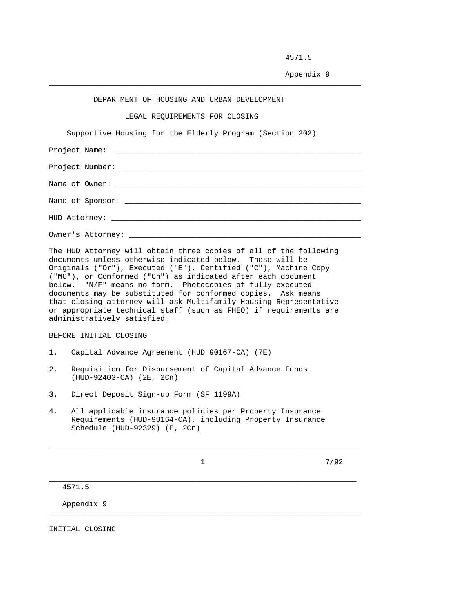4571.5

Appendix 9

## DEPARTMENT OF HOUSING AND URBAN DEVELOPMENT

\_\_\_\_\_\_\_\_\_\_\_\_\_\_\_\_\_\_\_\_\_\_\_\_\_\_\_\_\_\_\_\_\_\_\_\_\_\_\_\_\_\_\_\_\_\_\_\_\_\_\_\_\_\_\_\_\_\_\_\_\_\_\_\_\_\_\_\_\_\_

LEGAL REQUIREMENTS FOR CLOSING

Supportive Housing for the Elderly Program (Section 202)

The HUD Attorney will obtain three copies of all of the following documents unless otherwise indicated below. These will be Originals ("Or"), Executed ("E"), Certified ("C"), Machine Copy ("MC"), or Conformed ("Cn") as indicated after each document below. "N/F" means no form. Photocopies of fully executed documents may be substituted for conformed copies. Ask means that closing attorney will ask Multifamily Housing Representative or appropriate technical staff (such as FHEO) if requirements are administratively satisfied.

BEFORE INITIAL CLOSING

- 1. Capital Advance Agreement (HUD 90167-CA) (7E)
- 2. Requisition for Disbursement of Capital Advance Funds (HUD-92403-CA) (2E, 2Cn)
- 3. Direct Deposit Sign-up Form (SF 1199A)
- 4. All applicable insurance policies per Property Insurance Requirements (HUD-90164-CA), including Property Insurance Schedule (HUD-92329) (E, 2Cn)

\_\_\_\_\_\_\_\_\_\_\_\_\_\_\_\_\_\_\_\_\_\_\_\_\_\_\_\_\_\_\_\_\_\_\_\_\_\_\_\_\_\_\_\_\_\_\_\_\_\_\_\_\_\_\_\_\_\_\_\_\_\_\_\_\_\_\_\_\_

\_\_\_\_\_\_\_\_\_\_\_\_\_\_\_\_\_\_\_\_\_\_\_\_\_\_\_\_\_\_\_\_\_\_\_\_\_\_\_\_\_\_\_\_\_\_\_\_\_\_\_\_\_\_\_\_\_\_\_\_\_\_\_\_\_\_\_\_\_\_

\_\_\_\_\_\_\_\_\_\_\_\_\_\_\_\_\_\_\_\_\_\_\_\_\_\_\_\_\_\_\_\_\_\_\_\_\_\_\_\_\_\_\_\_\_\_\_\_\_\_\_\_\_\_\_\_\_\_\_\_\_\_\_\_\_\_\_\_\_\_

 $\frac{1}{7/92}$ 

4571.5

Appendix 9

INITIAL CLOSING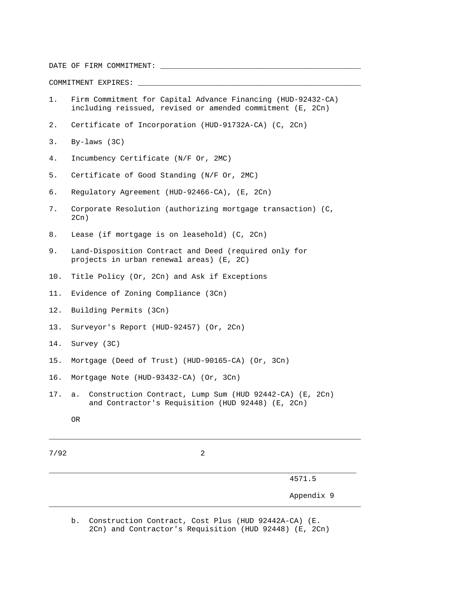DATE OF FIRM COMMITMENT: \_\_\_\_\_\_\_\_\_\_\_\_\_\_\_\_\_\_\_\_\_\_\_\_\_\_\_\_\_\_\_\_\_\_\_\_\_\_\_\_\_\_\_\_\_

COMMITMENT EXPIRES: \_\_\_\_\_\_\_\_\_\_\_\_\_\_\_\_\_\_\_\_\_\_\_\_\_\_\_\_\_\_\_\_\_\_\_\_\_\_\_\_\_\_\_\_\_\_\_\_\_\_

- 1. Firm Commitment for Capital Advance Financing (HUD-92432-CA) including reissued, revised or amended commitment (E, 2Cn)
- 2. Certificate of Incorporation (HUD-91732A-CA) (C, 2Cn)
- 3. By-laws (3C)
- 4. Incumbency Certificate (N/F Or, 2MC)
- 5. Certificate of Good Standing (N/F Or, 2MC)
- 6. Regulatory Agreement (HUD-92466-CA), (E, 2Cn)
- 7. Corporate Resolution (authorizing mortgage transaction) (C,  $2Cn$ )
- 8. Lease (if mortgage is on leasehold) (C, 2Cn)
- 9. Land-Disposition Contract and Deed (required only for projects in urban renewal areas) (E, 2C)
- 10. Title Policy (Or, 2Cn) and Ask if Exceptions
- 11. Evidence of Zoning Compliance (3Cn)
- 12. Building Permits (3Cn)
- 13. Surveyor's Report (HUD-92457) (Or, 2Cn)
- 14. Survey (3C)
- 15. Mortgage (Deed of Trust) (HUD-90165-CA) (Or, 3Cn)
- 16. Mortgage Note (HUD-93432-CA) (Or, 3Cn)
- 17. a. Construction Contract, Lump Sum (HUD 92442-CA) (E, 2Cn) and Contractor's Requisition (HUD 92448) (E, 2Cn)
	- OR

7/92 2

\_\_\_\_\_\_\_\_\_\_\_\_\_\_\_\_\_\_\_\_\_\_\_\_\_\_\_\_\_\_\_\_\_\_\_\_\_\_\_\_\_\_\_\_\_\_\_\_\_\_\_\_\_\_\_\_\_\_\_\_\_\_\_\_\_\_\_\_\_

\_\_\_\_\_\_\_\_\_\_\_\_\_\_\_\_\_\_\_\_\_\_\_\_\_\_\_\_\_\_\_\_\_\_\_\_\_\_\_\_\_\_\_\_\_\_\_\_\_\_\_\_\_\_\_\_\_\_\_\_\_\_\_\_\_\_\_\_\_\_

\_\_\_\_\_\_\_\_\_\_\_\_\_\_\_\_\_\_\_\_\_\_\_\_\_\_\_\_\_\_\_\_\_\_\_\_\_\_\_\_\_\_\_\_\_\_\_\_\_\_\_\_\_\_\_\_\_\_\_\_\_\_\_\_\_\_\_\_\_\_

4571.5

Appendix 9

 b. Construction Contract, Cost Plus (HUD 92442A-CA) (E. 2Cn) and Contractor's Requisition (HUD 92448) (E, 2Cn)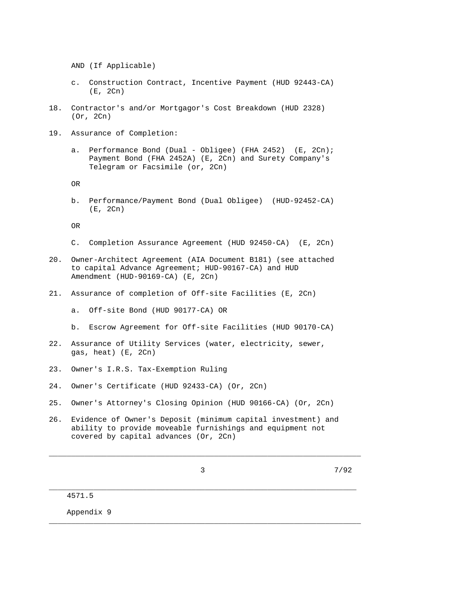AND (If Applicable)

- c. Construction Contract, Incentive Payment (HUD 92443-CA) (E, 2Cn)
- 18. Contractor's and/or Mortgagor's Cost Breakdown (HUD 2328) (Or, 2Cn)
- 19. Assurance of Completion:
	- a. Performance Bond (Dual Obligee) (FHA 2452) (E, 2Cn); Payment Bond (FHA 2452A) (E, 2Cn) and Surety Company's Telegram or Facsimile (or, 2Cn)

OR

 b. Performance/Payment Bond (Dual Obligee) (HUD-92452-CA) (E, 2Cn)

OR

- C. Completion Assurance Agreement (HUD 92450-CA) (E, 2Cn)
- 20. Owner-Architect Agreement (AIA Document B181) (see attached to capital Advance Agreement; HUD-90167-CA) and HUD Amendment (HUD-90169-CA) (E, 2Cn)
- 21. Assurance of completion of Off-site Facilities (E, 2Cn)
	- a. Off-site Bond (HUD 90177-CA) OR
	- b. Escrow Agreement for Off-site Facilities (HUD 90170-CA)
- 22. Assurance of Utility Services (water, electricity, sewer, gas, heat) (E, 2Cn)
- 23. Owner's I.R.S. Tax-Exemption Ruling
- 24. Owner's Certificate (HUD 92433-CA) (Or, 2Cn)
- 25. Owner's Attorney's Closing Opinion (HUD 90166-CA) (Or, 2Cn)
- 26. Evidence of Owner's Deposit (minimum capital investment) and ability to provide moveable furnishings and equipment not covered by capital advances (Or, 2Cn)

\_\_\_\_\_\_\_\_\_\_\_\_\_\_\_\_\_\_\_\_\_\_\_\_\_\_\_\_\_\_\_\_\_\_\_\_\_\_\_\_\_\_\_\_\_\_\_\_\_\_\_\_\_\_\_\_\_\_\_\_\_\_\_\_\_\_\_\_\_\_

\_\_\_\_\_\_\_\_\_\_\_\_\_\_\_\_\_\_\_\_\_\_\_\_\_\_\_\_\_\_\_\_\_\_\_\_\_\_\_\_\_\_\_\_\_\_\_\_\_\_\_\_\_\_\_\_\_\_\_\_\_\_\_\_\_\_\_\_\_

\_\_\_\_\_\_\_\_\_\_\_\_\_\_\_\_\_\_\_\_\_\_\_\_\_\_\_\_\_\_\_\_\_\_\_\_\_\_\_\_\_\_\_\_\_\_\_\_\_\_\_\_\_\_\_\_\_\_\_\_\_\_\_\_\_\_\_\_\_\_

3 7/92

4571.5

Appendix 9